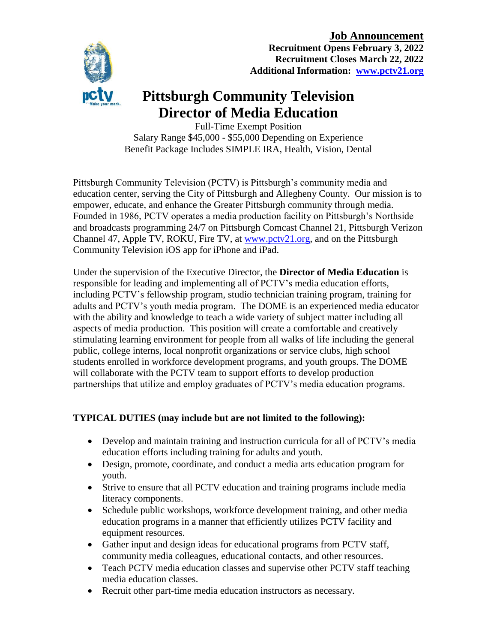#### **Job Announcement**



**Recruitment Opens February 3, 2022 Recruitment Closes March 22, 2022 Additional Information: [www.pctv21.org](http://www.pctv21.org/)**

# **Pittsburgh Community Television Director of Media Education**

Full-Time Exempt Position Salary Range \$45,000 - \$55,000 Depending on Experience Benefit Package Includes SIMPLE IRA, Health, Vision, Dental

Pittsburgh Community Television (PCTV) is Pittsburgh's community media and education center, serving the City of Pittsburgh and Allegheny County. Our mission is to empower, educate, and enhance the Greater Pittsburgh community through media. Founded in 1986, PCTV operates a media production facility on Pittsburgh's Northside and broadcasts programming 24/7 on Pittsburgh Comcast Channel 21, Pittsburgh Verizon Channel 47, Apple TV, ROKU, Fire TV, at [www.pctv21.org,](http://www.pctv21.org/) and on the Pittsburgh Community Television iOS app for iPhone and iPad.

Under the supervision of the Executive Director, the **Director of Media Education** is responsible for leading and implementing all of PCTV's media education efforts, including PCTV's fellowship program, studio technician training program, training for adults and PCTV's youth media program. The DOME is an experienced media educator with the ability and knowledge to teach a wide variety of subject matter including all aspects of media production. This position will create a comfortable and creatively stimulating learning environment for people from all walks of life including the general public, college interns, local nonprofit organizations or service clubs, high school students enrolled in workforce development programs, and youth groups. The DOME will collaborate with the PCTV team to support efforts to develop production partnerships that utilize and employ graduates of PCTV's media education programs.

## **TYPICAL DUTIES (may include but are not limited to the following):**

- Develop and maintain training and instruction curricula for all of PCTV's media education efforts including training for adults and youth.
- Design, promote, coordinate, and conduct a media arts education program for youth.
- Strive to ensure that all PCTV education and training programs include media literacy components.
- Schedule public workshops, workforce development training, and other media education programs in a manner that efficiently utilizes PCTV facility and equipment resources.
- Gather input and design ideas for educational programs from PCTV staff, community media colleagues, educational contacts, and other resources.
- Teach PCTV media education classes and supervise other PCTV staff teaching media education classes.
- Recruit other part-time media education instructors as necessary.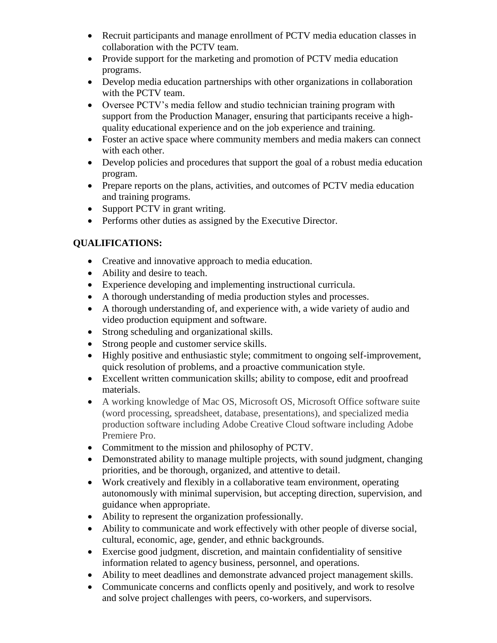- Recruit participants and manage enrollment of PCTV media education classes in collaboration with the PCTV team.
- Provide support for the marketing and promotion of PCTV media education programs.
- Develop media education partnerships with other organizations in collaboration with the PCTV team.
- Oversee PCTV's media fellow and studio technician training program with support from the Production Manager, ensuring that participants receive a highquality educational experience and on the job experience and training.
- Foster an active space where community members and media makers can connect with each other.
- Develop policies and procedures that support the goal of a robust media education program.
- Prepare reports on the plans, activities, and outcomes of PCTV media education and training programs.
- Support PCTV in grant writing.
- Performs other duties as assigned by the Executive Director.

# **QUALIFICATIONS:**

- Creative and innovative approach to media education.
- Ability and desire to teach.
- Experience developing and implementing instructional curricula.
- A thorough understanding of media production styles and processes.
- A thorough understanding of, and experience with, a wide variety of audio and video production equipment and software.
- Strong scheduling and organizational skills.
- Strong people and customer service skills.
- Highly positive and enthusiastic style; commitment to ongoing self-improvement, quick resolution of problems, and a proactive communication style.
- Excellent written communication skills; ability to compose, edit and proofread materials.
- A working knowledge of Mac OS, Microsoft OS, Microsoft Office software suite (word processing, spreadsheet, database, presentations), and specialized media production software including Adobe Creative Cloud software including Adobe Premiere Pro.
- Commitment to the mission and philosophy of PCTV.
- Demonstrated ability to manage multiple projects, with sound judgment, changing priorities, and be thorough, organized, and attentive to detail.
- Work creatively and flexibly in a collaborative team environment, operating autonomously with minimal supervision, but accepting direction, supervision, and guidance when appropriate.
- Ability to represent the organization professionally.
- Ability to communicate and work effectively with other people of diverse social, cultural, economic, age, gender, and ethnic backgrounds.
- Exercise good judgment, discretion, and maintain confidentiality of sensitive information related to agency business, personnel, and operations.
- Ability to meet deadlines and demonstrate advanced project management skills.
- Communicate concerns and conflicts openly and positively, and work to resolve and solve project challenges with peers, co-workers, and supervisors.